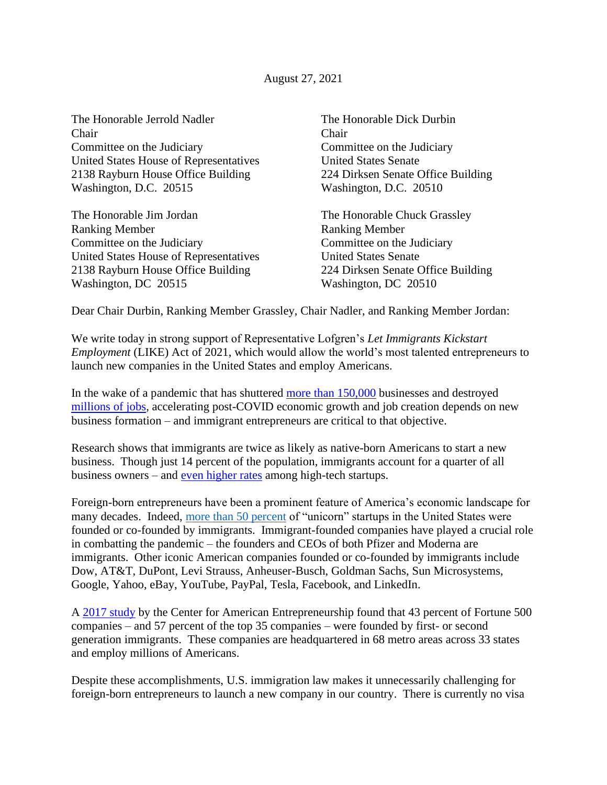The Honorable Jerrold Nadler The Honorable Dick Durbin Chair Chair Committee on the Judiciary Committee on the Judiciary United States House of Representatives United States Senate 2138 Rayburn House Office Building 224 Dirksen Senate Office Building Washington, D.C. 20515 Washington, D.C. 20510

The Honorable Jim Jordan The Honorable Chuck Grassley Ranking Member **Ranking Member** Committee on the Judiciary Committee on the Judiciary United States House of Representatives United States Senate 2138 Rayburn House Office Building 224 Dirksen Senate Office Building Washington, DC 20515 Washington, DC 20510

Dear Chair Durbin, Ranking Member Grassley, Chair Nadler, and Ranking Member Jordan:

We write today in strong support of Representative Lofgren's *Let Immigrants Kickstart Employment* (LIKE) Act of 2021, which would allow the world's most talented entrepreneurs to launch new companies in the United States and employ Americans.

In the wake of a pandemic that has shuttered [more than 150,000](https://www.washingtonpost.com/business/2020/05/12/small-business-used-define-americas-economy-pandemic-could-end-that-forever/) businesses and destroyed [millions of jobs,](https://apnews.com/article/financial-markets-financial-crisis-coronavirus-pandemic-united-nations-b2aec77662857af746583b071f339486) accelerating post-COVID economic growth and job creation depends on new business formation – and immigrant entrepreneurs are critical to that objective.

Research shows that immigrants are twice as likely as native-born Americans to start a new business. Though just 14 percent of the population, immigrants account for a quarter of all business owners – and [even higher rates](https://nfap.com/wp-content/uploads/2019/01/2018-BILLION-DOLLAR-STARTUPS.NFAP-Policy-Brief.2018-1.pdf) among high-tech startups.

Foreign-born entrepreneurs have been a prominent feature of America's economic landscape for many decades. Indeed, [more than 50 percent](https://www.inc.com/guadalupe-gonzalez/immigrant-entrepreneurs-founded-more-half-unicorn-startups-us.html) of "unicorn" startups in the United States were founded or co-founded by immigrants. Immigrant-founded companies have played a crucial role in combatting the pandemic – the founders and CEOs of both Pfizer and Moderna are immigrants. Other iconic American companies founded or co-founded by immigrants include Dow, AT&T, DuPont, Levi Strauss, Anheuser-Busch, Goldman Sachs, Sun Microsystems, Google, Yahoo, eBay, YouTube, PayPal, Tesla, Facebook, and LinkedIn.

A [2017 study](https://startupsusa.org/fortune500/) by the Center for American Entrepreneurship found that 43 percent of Fortune 500 companies – and 57 percent of the top 35 companies – were founded by first- or second generation immigrants. These companies are headquartered in 68 metro areas across 33 states and employ millions of Americans.

Despite these accomplishments, U.S. immigration law makes it unnecessarily challenging for foreign-born entrepreneurs to launch a new company in our country. There is currently no visa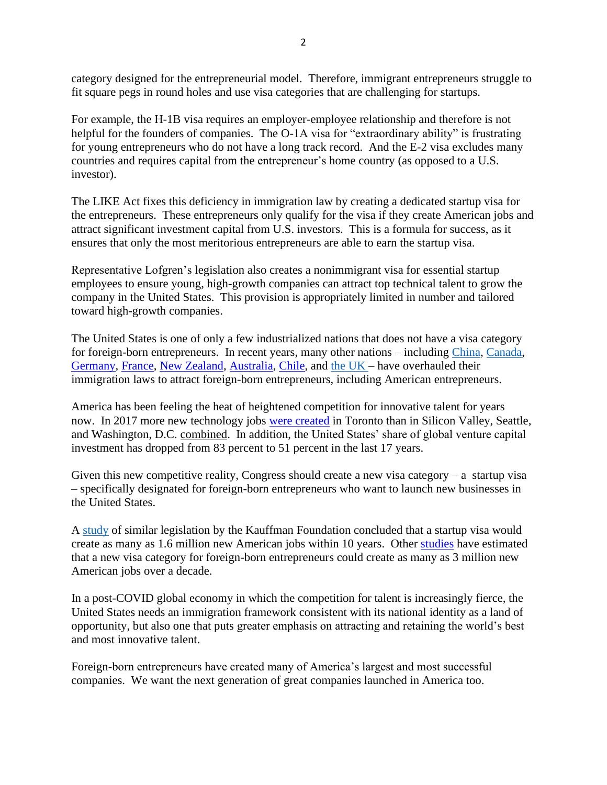category designed for the entrepreneurial model. Therefore, immigrant entrepreneurs struggle to fit square pegs in round holes and use visa categories that are challenging for startups.

For example, the H-1B visa requires an employer-employee relationship and therefore is not helpful for the founders of companies. The O-1A visa for "extraordinary ability" is frustrating for young entrepreneurs who do not have a long track record. And the E-2 visa excludes many countries and requires capital from the entrepreneur's home country (as opposed to a U.S. investor).

The LIKE Act fixes this deficiency in immigration law by creating a dedicated startup visa for the entrepreneurs. These entrepreneurs only qualify for the visa if they create American jobs and attract significant investment capital from U.S. investors. This is a formula for success, as it ensures that only the most meritorious entrepreneurs are able to earn the startup visa.

Representative Lofgren's legislation also creates a nonimmigrant visa for essential startup employees to ensure young, high-growth companies can attract top technical talent to grow the company in the United States. This provision is appropriately limited in number and tailored toward high-growth companies.

The United States is one of only a few industrialized nations that does not have a visa category for foreign-born entrepreneurs. In recent years, many other nations – including [China,](http://www.chinadaily.com.cn/a/201809/15/WS5b9c4223a31033b4f4656308.html) [Canada,](https://www.canada.ca/en/immigration-refugees-citizenship/services/immigrate-canada/start-visa.html) [Germany,](https://www.make-it-in-germany.com/en/jobs/setting-up-a-business/visa/general/) [France,](https://lafrenchtech.com/en/how-france-helps-startups/french-tech-visa/) [New Zealand,](https://www.newzealandnow.govt.nz/investing-in-nz/visas/entrepreneur-visa) [Australia,](https://www.zdnet.com/article/new-entrepreneur-visa-rolled-out-in-south-australia/) [Chile,](https://www.startupchile.org/programs/) and [the UK](https://www.gov.uk/government/news/new-start-up-visa-route-announced-by-the-home-secretary) – have overhauled their immigration laws to attract foreign-born entrepreneurs, including American entrepreneurs.

America has been feeling the heat of heightened competition for innovative talent for years now. In 2017 more new technology jobs [were created](https://www.bloomberg.com/news/articles/2018-07-24/toronto-beats-bay-area-in-new-tech-jobs-and-new-york-in-talent) in Toronto than in Silicon Valley, Seattle, and Washington, D.C. combined. In addition, the United States' share of global venture capital investment has dropped from 83 percent to 51 percent in the last 17 years.

Given this new competitive reality, Congress should create a new visa category – a startup visa – specifically designated for foreign-born entrepreneurs who want to launch new businesses in the United States.

A [study](https://www.kauffman.org/entrepreneurship/reports/give-me-your-entrepreneurs-your-innovators-estimating-employment-impact-of-a-startup-visa/) of similar legislation by the Kauffman Foundation concluded that a startup visa would create as many as 1.6 million new American jobs within 10 years. Other [studies](https://nfap.com/wp-content/uploads/2016/03/NFAP-Policy-Brief.Analysis-of-Startup-Visa-Proposals1.pdf) have estimated that a new visa category for foreign-born entrepreneurs could create as many as 3 million new American jobs over a decade.

In a post-COVID global economy in which the competition for talent is increasingly fierce, the United States needs an immigration framework consistent with its national identity as a land of opportunity, but also one that puts greater emphasis on attracting and retaining the world's best and most innovative talent.

Foreign-born entrepreneurs have created many of America's largest and most successful companies. We want the next generation of great companies launched in America too.